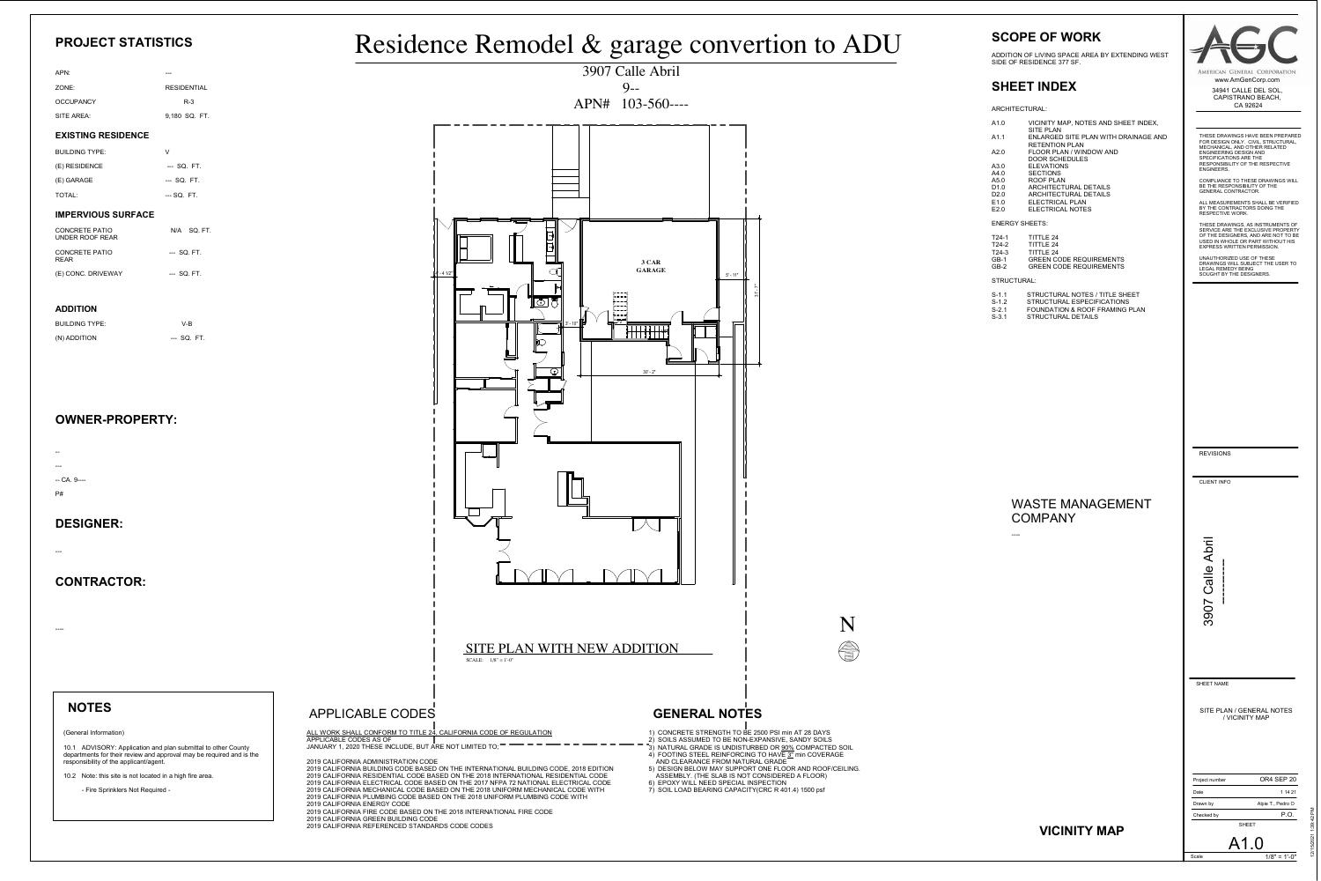CLIENT INFO

3907 Calle Abril

THESE DRAWINGS HAVE BEEN PREPARED FOR DESIGN ONLY. CIVIL, STRUCTURAL, MECHANICAL, AND OTHER RELATED ENGINEERING DESIGN AND SPECIFICATIONS ARE THE RESPONSIBILITY OF THE RESPECTIVE ENGINEERS.

COMPLIANCE TO THESE DRAWINGS WILL BE THE RESPONSIBILITY OF THE GENERAL CONTRACTOR.

ALL MEASUREMENTS SHALL BE VERIFIED BY THE CONTRACTORS DOING THE RESPECTIVE WORK.

AMERICAN GENERAL CORPORATION www.AmGenCorp.com

THESE DRAWINGS, AS INSTRUMENTS OF SERVICE ARE THE EXCLUSIVE PROPERTY OF THE DESIGNERS, AND ARE NOT TO BE USED IN WHOLE OR PART WITHOUT HIS EXPRESS WRITTEN PERMISSION.

| Project number | OR4 SEP 20        |
|----------------|-------------------|
| Date           | 1 14 21           |
| Drawn by       | Alpie T., Pedro O |
| Checked by     | P.O.              |
| SHEET          |                   |

UNAUTHORIZED USE OF THESE DRAWINGS WILL SUBJECT THE USER TO LEGAL REMEDY BEING SOUGHT BY THE DESIGNERS.

SHEET NAME

Scale

34941 CALLE DEL SOL, CAPISTRANO BEACH, CA 92624

REVISIONS

12/15/2021 1:39:42 PM

 $1/8" = 1'-0"$ 

A1.0

SITE PLAN / GENERAL NOTES / VICINITY MAP

# APPLICABLE CODES

# **SCOPE OF WORK**

- $\sim$  AND CLEARANCE FROM NATURAL GRADE 5) DESIGN BELOW MAY SUPPORT ONE FLOOR AND ROOF/CEILING.
- ASSEMBLY. (THE SLAB IS NOT CONSIDERED A FLOOR) 6) EPOXY WILL NEED SPECIAL INSPECTION
- 7) SOIL LOAD BEARING CAPACITY(CRC R 401.4) 1500 psf

ADDITION OF LIVING SPACE AREA BY EXTENDING WEST SIDE OF RESIDENCE 377 SF.

# **SHEET INDEX**

ARCHITECTURAL:

| A1.0 | VICINITY MAP, NOTES AND SHEET INDEX,<br><b>SITE PLAN</b> |
|------|----------------------------------------------------------|
| A1.1 | ENLARGED SITE PLAN WITH DRAINAGE AND                     |
|      | <b>RETENTION PLAN</b>                                    |
| A2.0 | <b>FLOOR PLAN / WINDOW AND</b>                           |
|      | <b>DOOR SCHEDULES</b>                                    |
| A3.0 | <b>ELEVATIONS</b>                                        |
| A4.0 | <b>SECTIONS</b>                                          |
| A5.0 | <b>ROOF PLAN</b>                                         |
| D1.0 | <b>ARCHITECTURAL DETAILS</b>                             |
| D2.0 | <b>ARCHITECTURAL DETAILS</b>                             |
| E1.0 | <b>ELECTRICAL PLAN</b>                                   |
| F2.0 | ELECTRICAL NOTES                                         |
|      |                                                          |

ALL WORK SHALL CONFORM TO TITLE 24, CALIFORNIA CODE OF REGULATION APPLICABLE CODES AS OF JANUARY 1, 2020 THESE INCLUDE, BUT ARE NOT LIMITED TO;

ENERGY SHEETS:

| T24-1   | <b>TITTLE 24</b>               |
|---------|--------------------------------|
| $T24-2$ | <b>TITTLE 24</b>               |
| $T24-3$ | TITTI F 24                     |
| $GB-1$  | <b>GREEN CODE REQUIREMENTS</b> |
| $GB-2$  | <b>GREEN CODE REQUIREMENTS</b> |

STRUCTURAL:

| $S-1.1$ | STRUCTURAL NOTES / TITLE SHEET |
|---------|--------------------------------|
| $S-1.2$ | STRUCTURAL ESPECIFICATIONS     |
| $S-2.1$ | FOUNDATION & ROOF FRAMING PLAN |
| $S-3.1$ | <b>STRUCTURAL DETAILS</b>      |

# **PROJECT STATISTICS**

| APN:             |                    |
|------------------|--------------------|
| ZONE:            | <b>RESIDENTIAL</b> |
| <b>OCCUPANCY</b> | $R-3$              |
| SITE AREA:       | 9,180 SQ. FT.      |
|                  |                    |



| <b>BUILDING TYPE:</b> |             |
|-----------------------|-------------|
| (E) RESIDENCE         | --- SQ, FT. |
| (E) GARAGE            | --- SQ. FT. |
| TOTAL:                | --- SQ. FT. |
|                       |             |

| <b>CONCRETE PATIO</b><br>UNDER ROOF REAR |             | N/A SQ. FT. |
|------------------------------------------|-------------|-------------|
| <b>CONCRETE PATIO</b><br><b>REAR</b>     | --- SQ. FT. |             |
| (E) CONC. DRIVEWAY                       | --- SQ. FT. |             |

| <b>BUILDING TYPE:</b> | V-B         |
|-----------------------|-------------|
| (N) ADDITION          | --- SQ. FT. |

# **VICINITY MAP**

### **NOTES**

### **CONTRACTOR:**

### **OWNER-PROPERTY:**

### **DESIGNER:**

-- --- -- CA. 9----

P#

### **EXISTING RESIDENCE**

#### **ADDITION**

2019 CALIFORNIA ADMINISTRATION CODE

2019 CALIFORNIA BUILDING CODE BASED ON THE INTERNATIONAL BUILDING CODE, 2018 EDITION 2019 CALIFORNIA RESIDENTIAL CODE BASED ON THE 2018 INTERNATIONAL RESIDENTIAL CODE 2019 CALIFORNIA ELECTRICAL CODE BASED ON THE 2017 NFPA 72 NATIONAL ELECTRICAL CODE 2019 CALIFORNIA MECHANICAL CODE BASED ON THE 2018 UNIFORM MECHANICAL CODE WITH 2019 CALIFORNIA PLUMBING CODE BASED ON THE 2018 UNIFORM PLUMBING CODE WITH

2019 CALIFORNIA ENERGY CODE 2019 CALIFORNIA FIRE CODE BASED ON THE 2018 INTERNATIONAL FIRE CODE

2019 CALIFORNIA GREEN BUILDING CODE 2019 CALIFORNIA REFERENCED STANDARDS CODE CODES

#### (General Information)

10.1 ADVISORY: Application and plan submittal to other County departments for their review and approval may be required and is the responsibility of the applicant/agent.

10.2 Note: this site is not located in a high fire area.

- Fire Sprinklers Not Required -

#### **IMPERVIOUS SURFACE**

---

----

| WASTE MANAGEMENT |  |
|------------------|--|
| COMPANY          |  |



----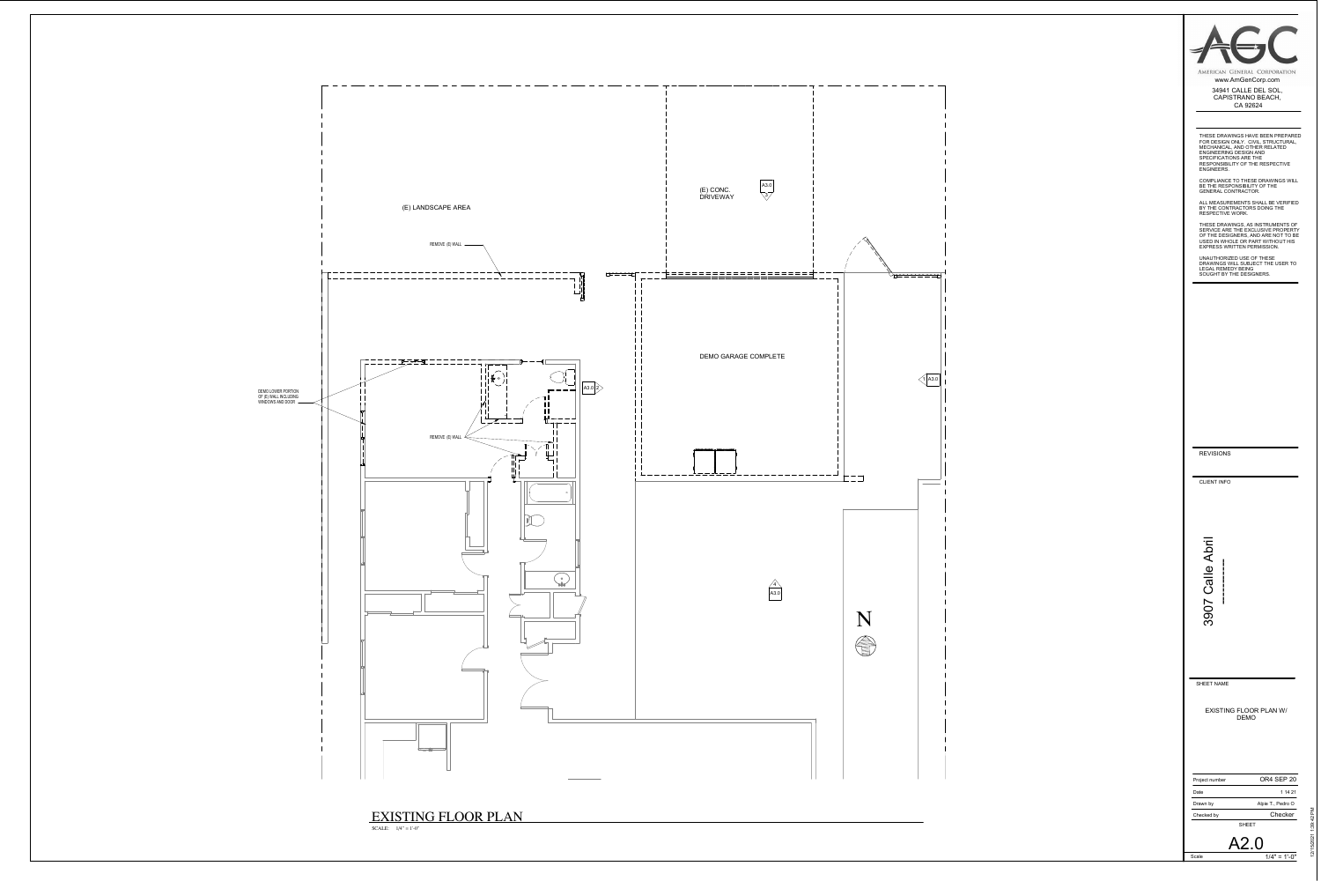CLIENT INFO

THESE DRAWINGS HAVE BEEN PREPARED FOR DESIGN ONLY. CIVIL, STRUCTURAL, MECHANICAL, AND OTHER RELATED ENGINEERING DESIGN AND SPECIFICATIONS ARE THE RESPONSIBILITY OF THE RESPECTIVE ENGINEERS.

COMPLIANCE TO THESE DRAWINGS WILL BE THE RESPONSIBILITY OF THE GENERAL CONTRACTOR.

> $1/4" = 1'-0"$ A2.0

ALL MEASUREMENTS SHALL BE VERIFIED BY THE CONTRACTORS DOING THE RESPECTIVE WORK.



THESE DRAWINGS, AS INSTRUMENTS OF SERVICE ARE THE EXCLUSIVE PROPERTY OF THE DESIGNERS, AND ARE NOT TO BE USED IN WHOLE OR PART WITHOUT HIS EXPRESS WRITTEN PERMISSION.

| Project number | OR4 SEP 20        |
|----------------|-------------------|
| Date           | 1 14 21           |
| Drawn by       | Alpie T., Pedro O |
| Checked by     | Checker           |
|                | SHFFT             |

UNAUTHORIZED USE OF THESE DRAWINGS WILL SUBJECT THE USER TO LEGAL REMEDY BEING SOUGHT BY THE DESIGNERS.

SHEET NAME

Scale

| AMERICAN GENERAL CORPORATION                          |
|-------------------------------------------------------|
| www.AmGenCorp.com                                     |
| 34941 CALLE DEL SOL,<br>CAPISTRANO BEACH,<br>CA 92624 |
|                                                       |

REVISIONS

EXISTING FLOOR PLAN W/ DEMO



EXISTING FLOOR PLAN

SCALE:  $1/4" = 1'-0"$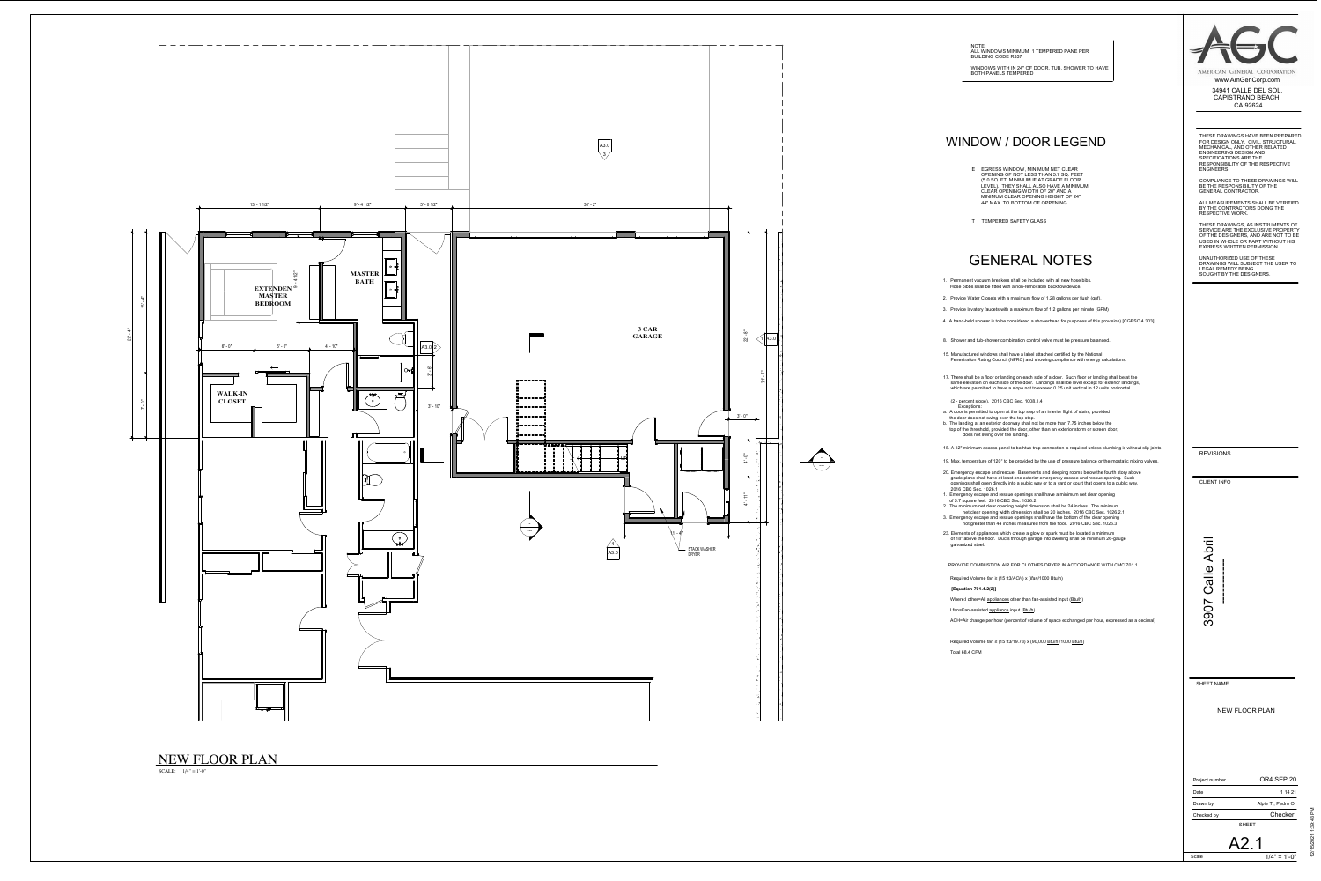# WINDOW / DOOR LEGEND

- E EGRESS WINDOW, MINIMUM NET CLEAR OPENING OF NOT LESS THAN 5.7 SQ. FEET (5.0 SQ. FT. MINIMUM IF AT GRADE FLOOR LEVEL). THEY SHALL ALSO HAVE A MINIMUM CLEAR OPENING WIDTH OF 20" AND A MINIMUM CLEAR OPENING HEIGHT OF 24" 44" MAX. TO BOTTOM OF OPPENING
- T TEMPERED SAFETY GLASS

18. A 12" minimum access panel to bathtub trap connection is required unless plumbing is without slip joints.

- 1. Permanent vacuum breakers shall be included with all new hose bibs. Hose bibbs shall be fitted with a non-removable backflow device.
- 2. Provide Water Closets with a maximum flow of 1.28 gallons per flush (gpf).
- 3. Provide lavatory faucets with a maximum flow of 1.2 gallons per minute (GPM)
- 4. A hand-held shower is to be considered a showerhead for purposes of this provision) [CGBSC 4.303]
- 8. Shower and tub-shower combination control valve must be pressure balanced.
- 15. Manufactured windows shall have a label attached certified by the National Fenestration Rating Council (NFRC) and showing compliance with energy calculations.
- 17. There shall be a floor or landing on each side of a door. Such floor or landing shall be at the same elevation on each side of the door. Landings shall be level except for exterior landings, which are permitted to have a slope not to exceed 0.25 unit vertical in 12 units horizontal
- (2 percent slope). 2016 CBC Sec. 1008.1.4
- Exceptions: a. A door is permitted to open at the top step of an interior flight of stairs, provided
- the door does not swing over the top step. b. The landing at an exterior doorway shall not be more than 7.75 inches below the
- top of the threshold, provided the door, other than an exterior storm or screen door, does not swing over the landing.

- 19. Max. temperature of 120° to be provided by the use of pressure balance or thermostatic mixing valves.
- 20. Emergency escape and rescue. Basements and sleeping rooms below the fourth story above grade plane shall have at least one exterior emergency escape and rescue opening. Such openings shall open directly into a public way or to a yard or court that opens to a public way. 2016 CBC Sec. 1026.1
- 1. Emergency escape and rescue openings shall have a minimum net clear opening of 5.7 square feet. 2016 CBC Sec. 1026.2
- 2. The minimum net clear opening height dimension shall be 24 inches. The minimum
- net clear opening width dimension shall be 20 inches. 2016 CBC Sec. 1026.2.1 3. Emergency escape and rescue openings shall have the bottom of the clear opening not greater than 44 inches measured from the floor. 2016 CBC Sec. 1026.3
- 23. Elements of appliances which create a glow or spark must be located a minimum of 18" above the floor. Ducts through garage into dwelling shall be minimum 26-gauge galvanized steel.



AMERICAN GENERAL CORPORATION www.AmGenCorp.com

# GENERAL NOTES

Required Volume *fan* ≥ (15 ft3/*ACH*) x (*Ifan*/1000 Btu/h)

- **[Equation 701.4.2(2)]**
- Where:I other=All appliances other than fan-assisted input (Btu/h)
- I fan=Fan-assisted appliance input (Btu/h)

ACH=Air change per hour (percent of volume of space exchanged per hour, expressed as a decimal)

Required Volume *fan* ≥ (15 ft3/19.73) x (90,000 Btu/h /1000 Btu/h)

Total 68.4 CFM



PROVIDE COMBUSTION AIR FOR CLOTHES DRYER IN ACCORDANCE WITH CMC 701.1.

CLIENT INFO

THESE DRAWINGS HAVE BEEN PREPARED FOR DESIGN ONLY. CIVIL, STRUCTURAL, MECHANICAL, AND OTHER RELATED ENGINEERING DESIGN AND SPECIFICATIONS ARE THE RESPONSIBILITY OF THE RESPECTIVE ENGINEERS.

COMPLIANCE TO THESE DRAWINGS WILL BE THE RESPONSIBILITY OF THE GENERAL CONTRACTOR.

ALL MEASUREMENTS SHALL BE VERIFIED BY THE CONTRACTORS DOING THE RESPECTIVE WORK.

| Project number | OR4 SEP 20        |
|----------------|-------------------|
| Date           | 1 14 21           |
| Drawn by       | Alpie T., Pedro O |
| Checked by     | Checker           |
|                | <b>SHFFT</b>      |

THESE DRAWINGS, AS INSTRUMENTS OF SERVICE ARE THE EXCLUSIVE PROPERTY OF THE DESIGNERS, AND ARE NOT TO BE USED IN WHOLE OR PART WITHOUT HIS EXPRESS WRITTEN PERMISSION.

UNAUTHORIZED USE OF THESE DRAWINGS WILL SUBJECT THE USER TO LEGAL REMEDY BEING SOUGHT BY THE DESIGNERS.

SHEET NAME

Scale

34941 CALLE DEL SOL, CAPISTRANO BEACH, CA 92624

REVISIONS



NEW FLOOR PLAN





| NOTE:                                   |  |
|-----------------------------------------|--|
| ALL WINDOWS MINIMUM 1 TEMPERED PANE PER |  |
| BUILDING CODE R337                      |  |

WINDOWS WITH IN 24" OF DOOR, TUB, SHOWER TO HAVE BOTH PANELS TEMPERED